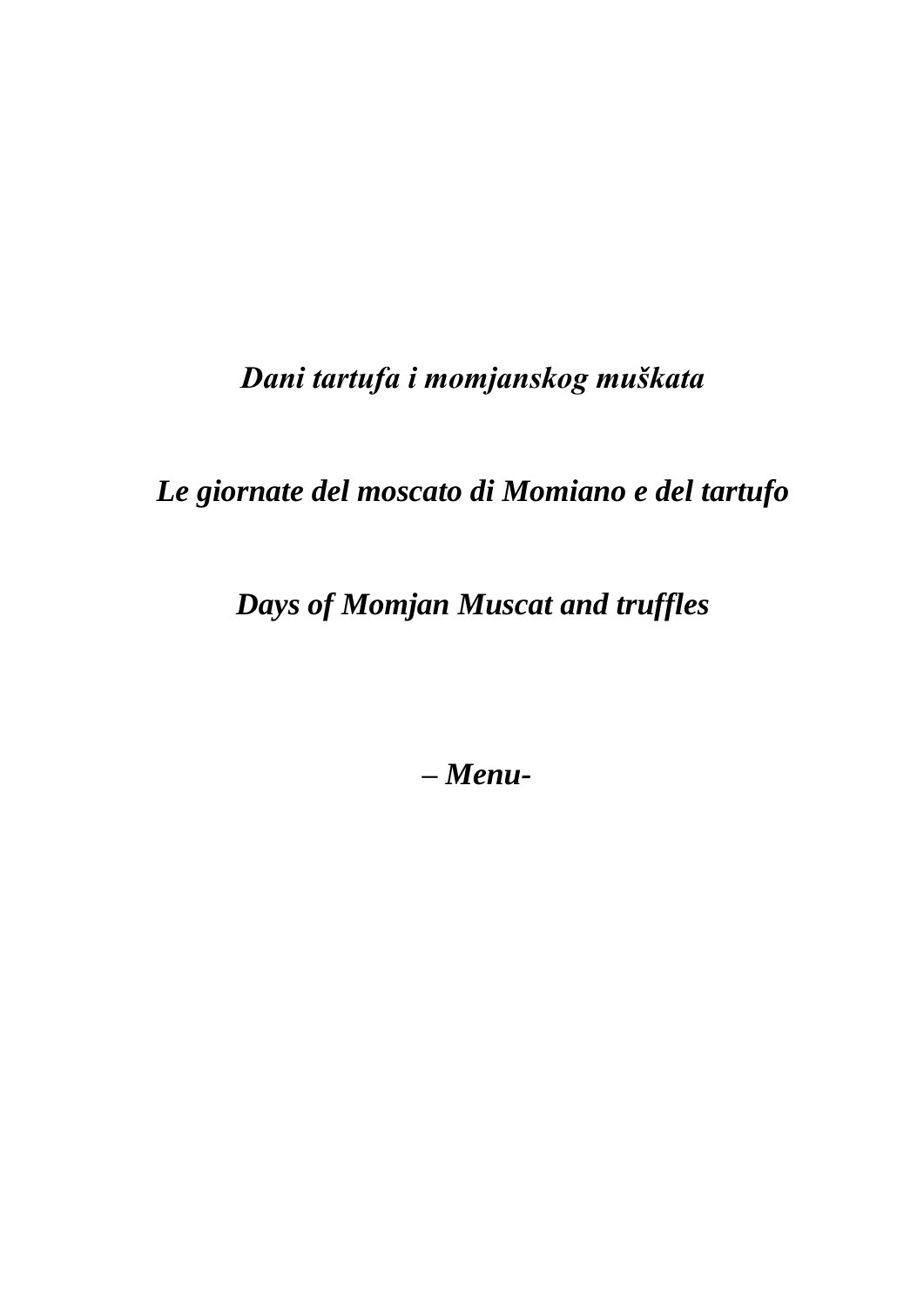# Dani tartufa i momjanskog muškata

Le giornate del moscato di Momiano e del tartufo

Days of Momjan Muscat and truffles

 $-Menu-$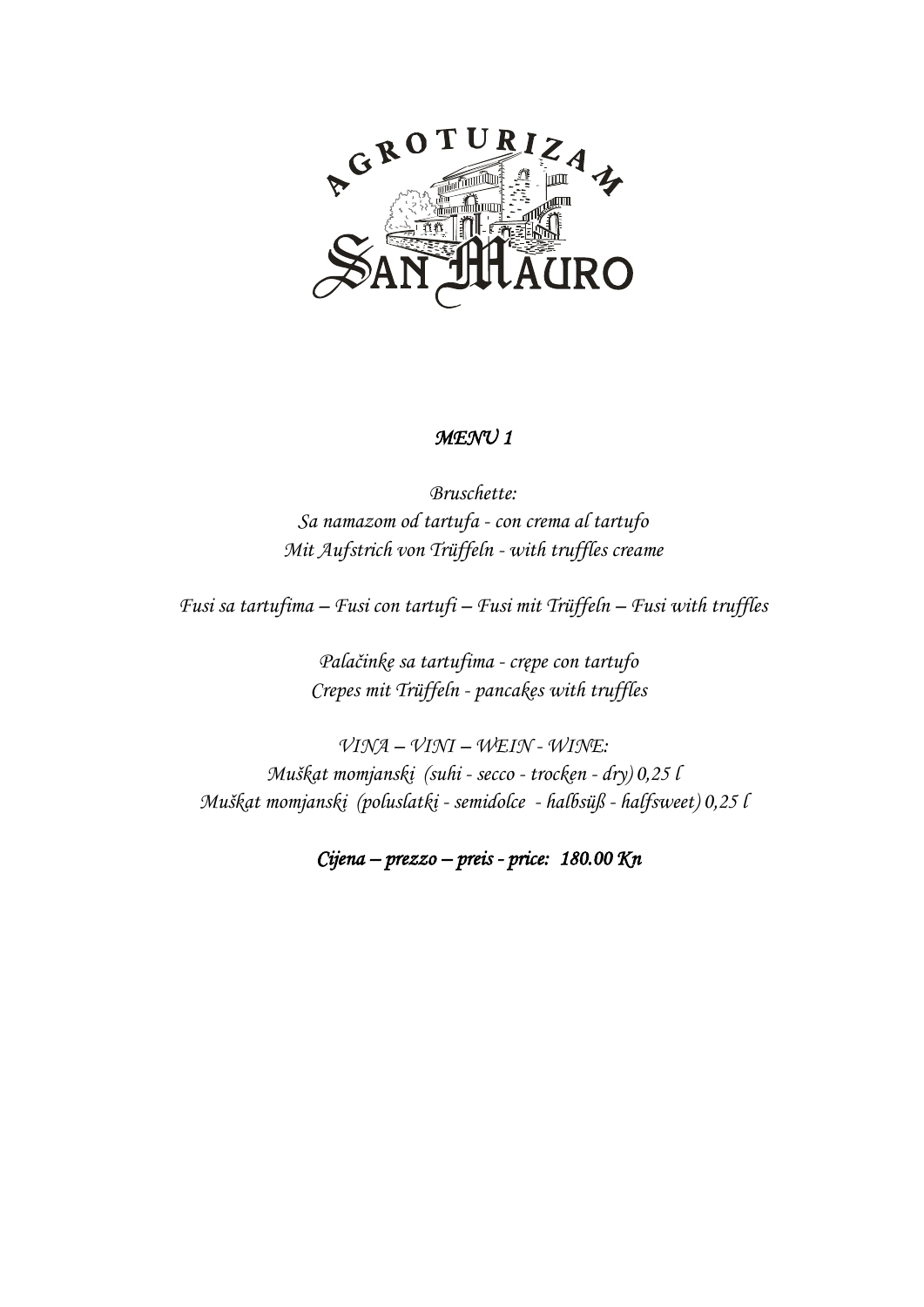

## *MENU 1*

*Bruschette: Sa namazom od tartufa - con crema al tartufo Mit Aufstrich von Trüffeln - with truffles creame*

*Fusi sa tartufima – Fusi con tartufi – Fusi mit Trüffeln – Fusi with truffles*

*Palačinke sa tartufima - crępe con tartufo Crepes mit Trüffeln - pancakes with truffles*

*VINA – VINI – WEIN - WINE: Muškat momjanski (suhi - secco - trocken - dry) 0,25 l Muškat momjanski (poluslatki - semidolce - halbsüß - halfsweet) 0,25 l*

*Cijena – prezzo – preis - price: 180.00 Kn*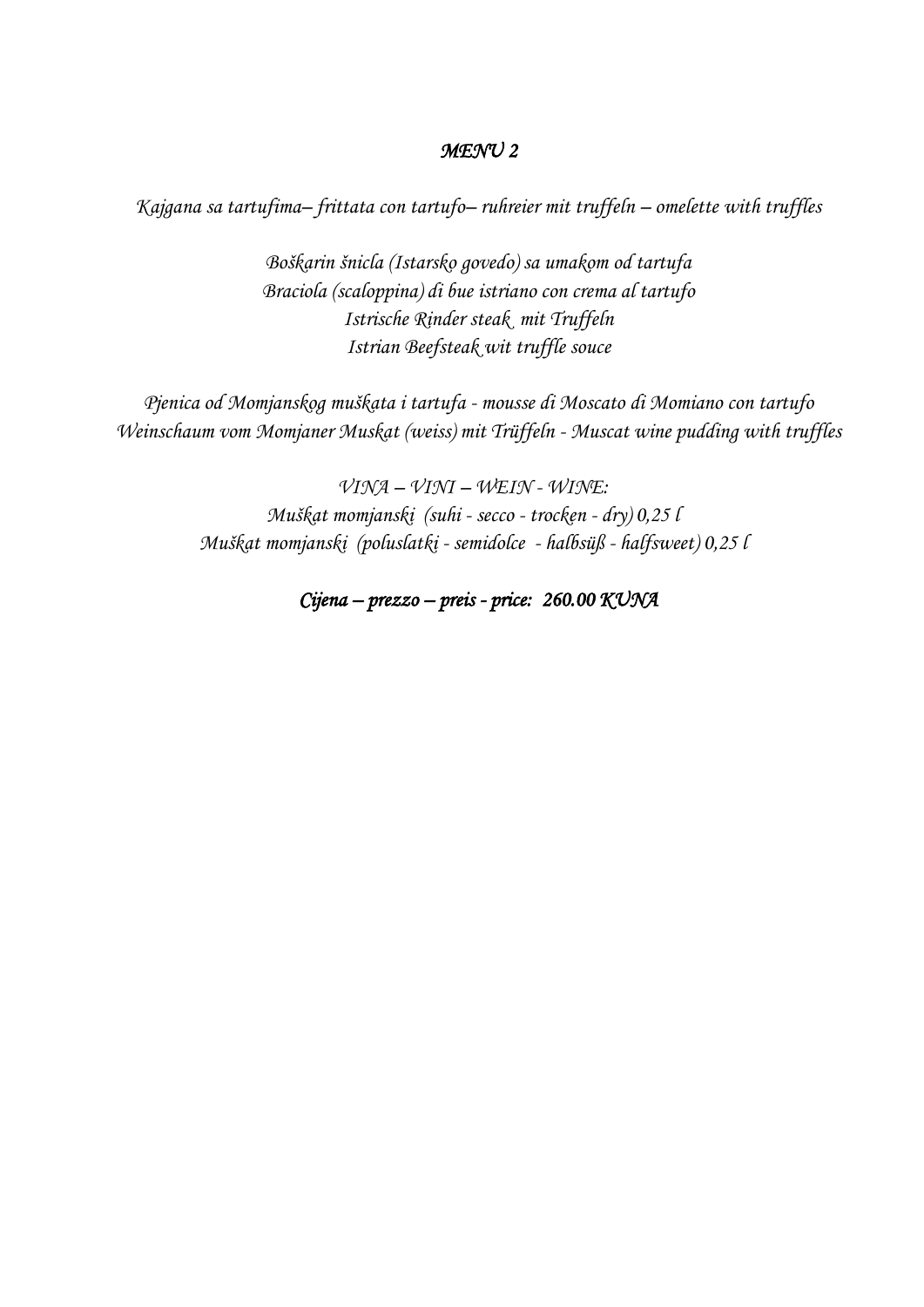# *MENU 2*

*Kajgana sa tartufima– frittata con tartufo– ruhreier mit truffeln – omelette with truffles*

*Boškarin šnicla (Istarsko govedo) sa umakom od tartufa Braciola (scaloppina) di bue istriano con crema al tartufo Istrische Rinder steak mit Truffeln Istrian Beefsteak wit truffle souce*

*Pjenica od Momjanskog muškata i tartufa - mousse di Moscato di Momiano con tartufo Weinschaum vom Momjaner Muskat (weiss) mit Trüffeln - Muscat wine pudding with truffles*

> *VINA – VINI – WEIN - WINE: Muškat momjanski (suhi - secco - trocken - dry) 0,25 l Muškat momjanski (poluslatki - semidolce - halbsüß - halfsweet) 0,25 l*

# *Cijena – prezzo – preis - price: 260.00 KUNA*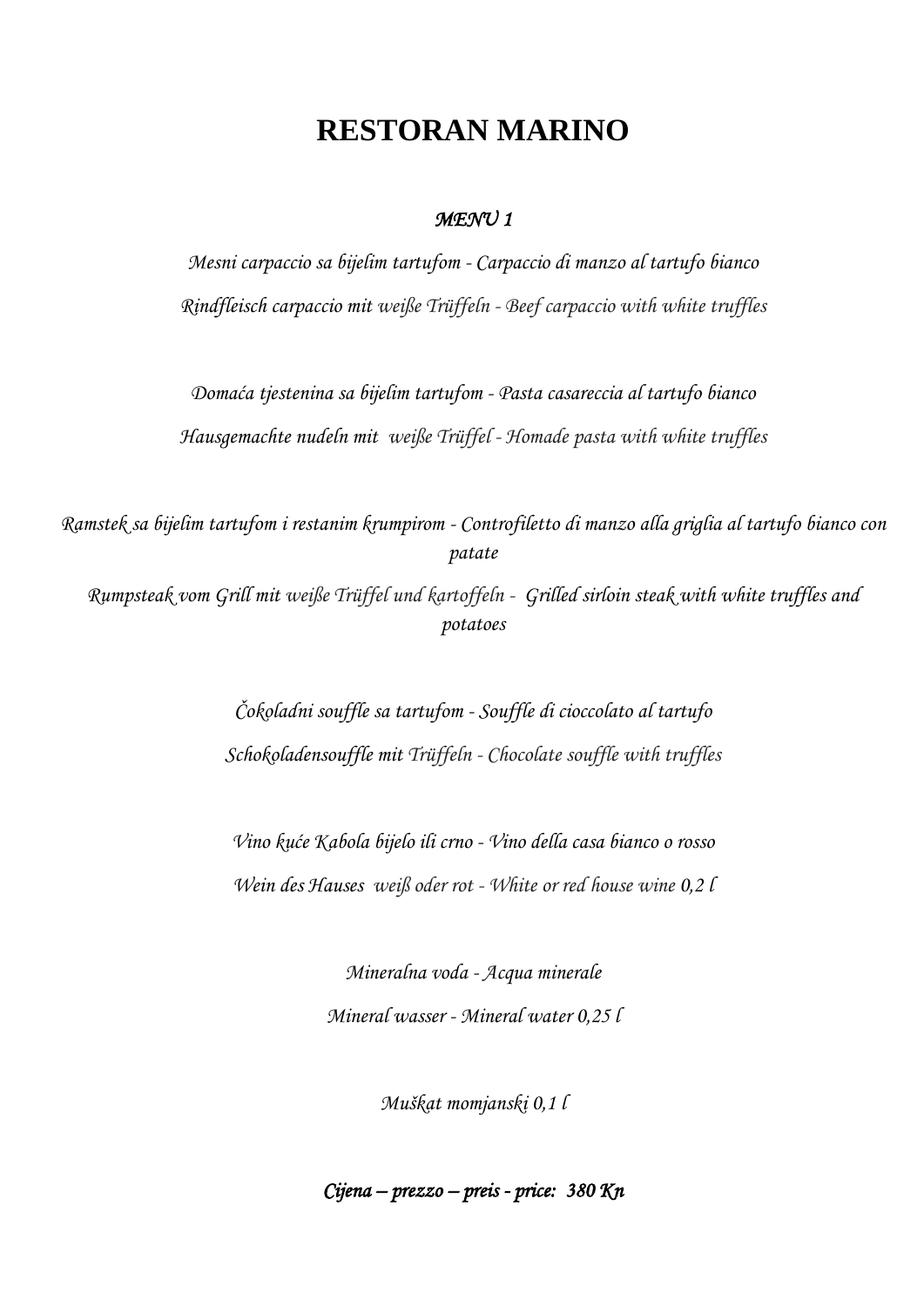# **RESTORAN MARINO**

# *MENU 1*

*Mesni carpaccio sa bijelim tartufom - Carpaccio di manzo al tartufo bianco Rindfleisch carpaccio mit weiße Trüffeln - Beef carpaccio with white truffles*

*Domaća tjestenina sa bijelim tartufom - Pasta casareccia al tartufo bianco Hausgemachte nudeln mit weiße Trüffel - Homade pasta with white truffles*

*Ramstek sa bijelim tartufom i restanim krumpirom - Controfiletto di manzo alla griglia al tartufo bianco con patate*

*Rumpsteak vom Grill mit weiße Trüffel und kartoffeln - Grilled sirloin steak with white truffles and potatoes*

> *Čokoladni souffle sa tartufom - Souffle di cioccolato al tartufo Schokoladensouffle mit Trüffeln - Chocolate souffle with truffles*

*Vino kuće Kabola bijelo ili crno - Vino della casa bianco o rosso Wein des Hauses weiß oder rot - White or red house wine 0,2 l*

> *Mineralna voda - Acqua minerale Mineral wasser - Mineral water 0,25 l*

> > *Muškat momjanski 0,1 l*

*Cijena – prezzo – preis - price: 380 Kn*